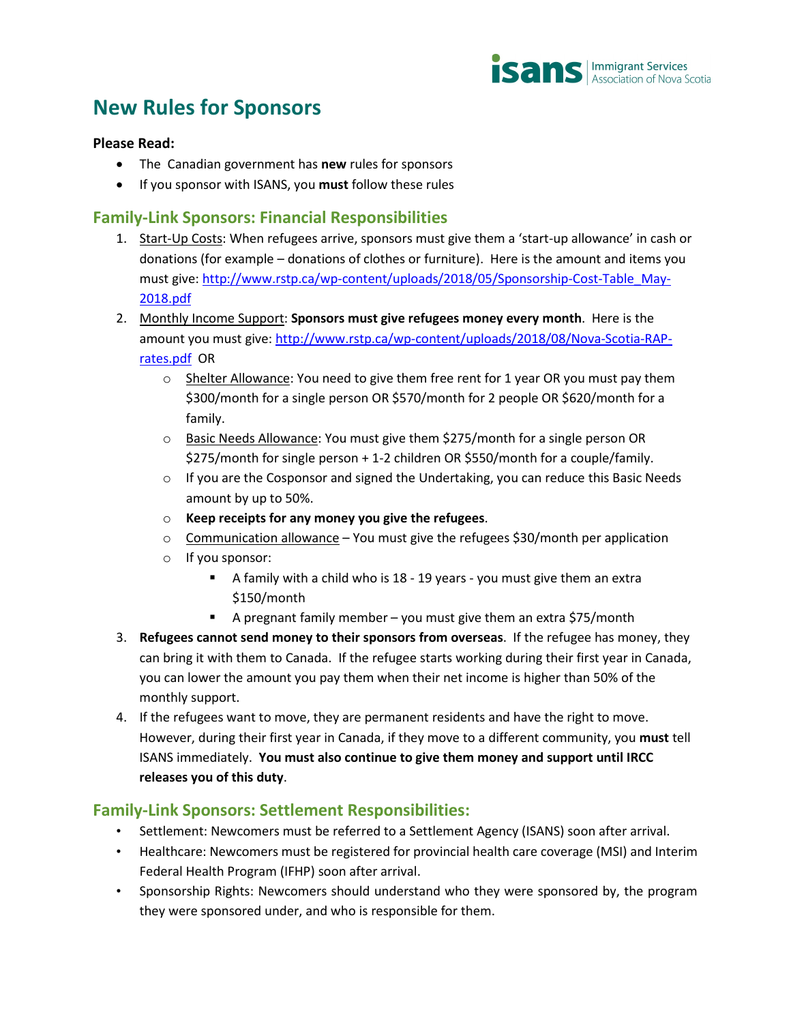

## **New Rules for Sponsors**

## **Please Read:**

- The Canadian government has **new** rules for sponsors
- If you sponsor with ISANS, you **must** follow these rules

## **Family-Link Sponsors: Financial Responsibilities**

- 1. Start-Up Costs: When refugees arrive, sponsors must give them a 'start-up allowance' in cash or donations (for example – donations of clothes or furniture). Here is the amount and items you must give[: http://www.rstp.ca/wp-content/uploads/2018/05/Sponsorship-Cost-Table\\_May-](http://www.rstp.ca/wp-content/uploads/2018/05/Sponsorship-Cost-Table_May-2018.pdf)[2018.pdf](http://www.rstp.ca/wp-content/uploads/2018/05/Sponsorship-Cost-Table_May-2018.pdf)
- 2. Monthly Income Support: **Sponsors must give refugees money every month**. Here is the amount you must give: [http://www.rstp.ca/wp-content/uploads/2018/08/Nova-Scotia-RAP](http://www.rstp.ca/wp-content/uploads/2018/08/Nova-Scotia-RAP-rates.pdf)[rates.pdf](http://www.rstp.ca/wp-content/uploads/2018/08/Nova-Scotia-RAP-rates.pdf) OR
	- $\circ$  Shelter Allowance: You need to give them free rent for 1 year OR you must pay them \$300/month for a single person OR \$570/month for 2 people OR \$620/month for a family.
	- o Basic Needs Allowance: You must give them \$275/month for a single person OR \$275/month for single person + 1-2 children OR \$550/month for a couple/family.
	- $\circ$  If you are the Cosponsor and signed the Undertaking, you can reduce this Basic Needs amount by up to 50%.
	- o **Keep receipts for any money you give the refugees**.
	- $\circ$  Communication allowance You must give the refugees \$30/month per application
	- o If you sponsor:
		- A family with a child who is 18 19 years you must give them an extra \$150/month
		- A pregnant family member you must give them an extra \$75/month
- 3. **Refugees cannot send money to their sponsors from overseas**. If the refugee has money, they can bring it with them to Canada. If the refugee starts working during their first year in Canada, you can lower the amount you pay them when their net income is higher than 50% of the monthly support.
- 4. If the refugees want to move, they are permanent residents and have the right to move. However, during their first year in Canada, if they move to a different community, you **must** tell ISANS immediately. **You must also continue to give them money and support until IRCC releases you of this duty**.

## **Family-Link Sponsors: Settlement Responsibilities:**

- Settlement: Newcomers must be referred to a Settlement Agency (ISANS) soon after arrival.
- Healthcare: Newcomers must be registered for provincial health care coverage (MSI) and Interim Federal Health Program (IFHP) soon after arrival.
- Sponsorship Rights: Newcomers should understand who they were sponsored by, the program they were sponsored under, and who is responsible for them.